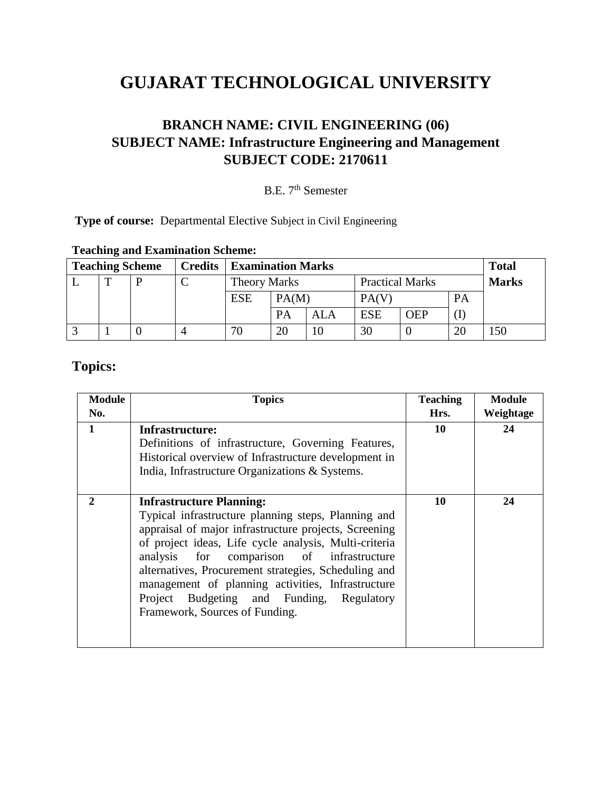# **GUJARAT TECHNOLOGICAL UNIVERSITY**

### **BRANCH NAME: CIVIL ENGINEERING (06) SUBJECT NAME: Infrastructure Engineering and Management SUBJECT CODE: 2170611**

## B.E. 7<sup>th</sup> Semester

**Type of course:** Departmental Elective Subject in Civil Engineering

| <b>Teaching Scheme</b> |   |  | <b>Credits</b> | <b>Examination Marks</b> |                                               |            |            |              |           | <b>Total</b> |
|------------------------|---|--|----------------|--------------------------|-----------------------------------------------|------------|------------|--------------|-----------|--------------|
|                        | ௱ |  | ⌒              |                          | <b>Practical Marks</b><br><b>Theory Marks</b> |            |            | <b>Marks</b> |           |              |
|                        |   |  |                | <b>ESE</b>               | PA(M)                                         |            | PA(V)      |              | <b>PA</b> |              |
|                        |   |  |                |                          | PA                                            | <b>ALA</b> | <b>ESE</b> | <b>OEP</b>   |           |              |
|                        |   |  |                | 70                       | 20                                            |            | 30         |              | 20        | 50ء          |

### **Teaching and Examination Scheme:**

### **Topics:**

| <b>Module</b><br>No. | <b>Topics</b>                                                                                                                                                                                                                                                                                                                                                                                                                                     | <b>Teaching</b><br>Hrs. | <b>Module</b><br>Weightage |
|----------------------|---------------------------------------------------------------------------------------------------------------------------------------------------------------------------------------------------------------------------------------------------------------------------------------------------------------------------------------------------------------------------------------------------------------------------------------------------|-------------------------|----------------------------|
| 1                    | Infrastructure:<br>Definitions of infrastructure, Governing Features,<br>Historical overview of Infrastructure development in<br>India, Infrastructure Organizations & Systems.                                                                                                                                                                                                                                                                   | 10                      | 24                         |
| $\mathbf{2}$         | <b>Infrastructure Planning:</b><br>Typical infrastructure planning steps, Planning and<br>appraisal of major infrastructure projects, Screening<br>of project ideas, Life cycle analysis, Multi-criteria<br>analysis for comparison of infrastructure<br>alternatives, Procurement strategies, Scheduling and<br>management of planning activities, Infrastructure<br>Project Budgeting and Funding, Regulatory<br>Framework, Sources of Funding. | 10                      | 24                         |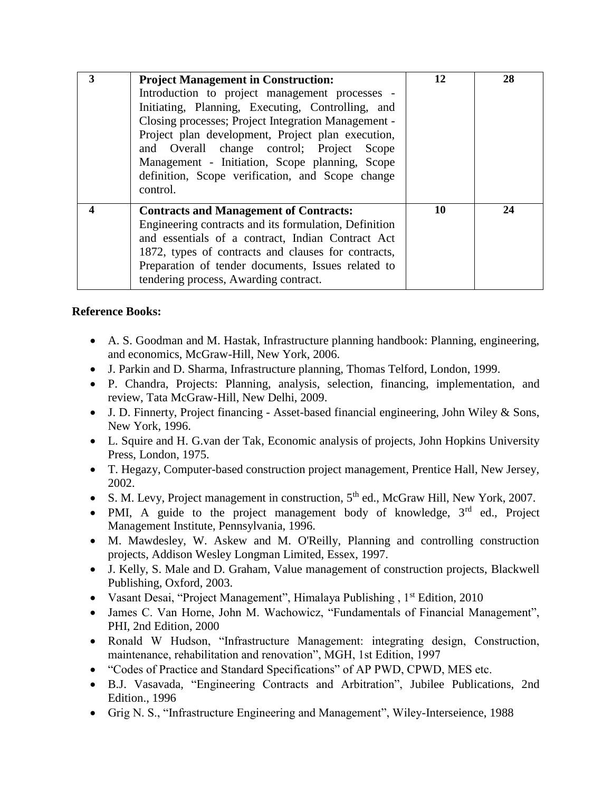| 3 | <b>Project Management in Construction:</b>                                                                                                                                                                                                                                                                                                                                        | 12 | 28 |
|---|-----------------------------------------------------------------------------------------------------------------------------------------------------------------------------------------------------------------------------------------------------------------------------------------------------------------------------------------------------------------------------------|----|----|
|   | Introduction to project management processes -<br>Initiating, Planning, Executing, Controlling, and<br>Closing processes; Project Integration Management -<br>Project plan development, Project plan execution,<br>and Overall change control; Project<br>Scope<br>Management - Initiation, Scope planning, Scope<br>definition, Scope verification, and Scope change<br>control. |    |    |
|   | <b>Contracts and Management of Contracts:</b><br>Engineering contracts and its formulation, Definition<br>and essentials of a contract, Indian Contract Act<br>1872, types of contracts and clauses for contracts,<br>Preparation of tender documents, Issues related to<br>tendering process, Awarding contract.                                                                 | 10 | 24 |

#### **Reference Books:**

- A. S. Goodman and M. Hastak, Infrastructure planning handbook: Planning, engineering, and economics, McGraw-Hill, New York, 2006.
- J. Parkin and D. Sharma, Infrastructure planning, Thomas Telford, London, 1999.
- P. Chandra, Projects: Planning, analysis, selection, financing, implementation, and review, Tata McGraw-Hill, New Delhi, 2009.
- J. D. Finnerty, Project financing Asset-based financial engineering, John Wiley & Sons, New York, 1996.
- L. Squire and H. G.van der Tak, Economic analysis of projects, John Hopkins University Press, London, 1975.
- T. Hegazy, Computer-based construction project management, Prentice Hall, New Jersey, 2002.
- S. M. Levy, Project management in construction,  $5<sup>th</sup>$  ed., McGraw Hill, New York, 2007.
- PMI, A guide to the project management body of knowledge,  $3<sup>rd</sup>$  ed., Project Management Institute, Pennsylvania, 1996.
- M. Mawdesley, W. Askew and M. O'Reilly, Planning and controlling construction projects, Addison Wesley Longman Limited, Essex, 1997.
- J. Kelly, S. Male and D. Graham, Value management of construction projects, Blackwell Publishing, Oxford, 2003.
- Vasant Desai, "Project Management", Himalaya Publishing , 1<sup>st</sup> Edition, 2010
- James C. Van Horne, John M. Wachowicz, "Fundamentals of Financial Management", PHI, 2nd Edition, 2000
- Ronald W Hudson, "Infrastructure Management: integrating design, Construction, maintenance, rehabilitation and renovation", MGH, 1st Edition, 1997
- "Codes of Practice and Standard Specifications" of AP PWD, CPWD, MES etc.
- B.J. Vasavada, "Engineering Contracts and Arbitration", Jubilee Publications, 2nd Edition., 1996
- Grig N. S., "Infrastructure Engineering and Management", Wiley-Interseience, 1988